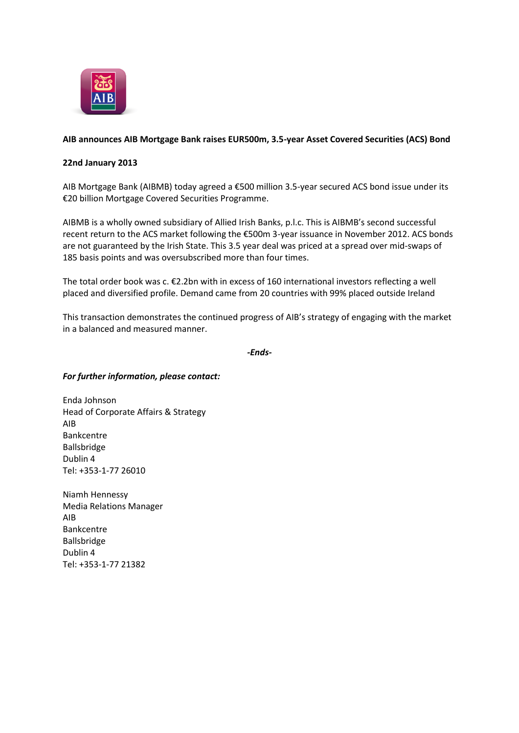

## **AIB announces AIB Mortgage Bank raises EUR500m, 3.5-year Asset Covered Securities (ACS) Bond**

## **22nd January 2013**

AIB Mortgage Bank (AIBMB) today agreed a €500 million 3.5-year secured ACS bond issue under its €20 billion Mortgage Covered Securities Programme.

AIBMB is a wholly owned subsidiary of Allied Irish Banks, p.l.c. This is AIBMB's second successful recent return to the ACS market following the €500m 3-year issuance in November 2012. ACS bonds are not guaranteed by the Irish State. This 3.5 year deal was priced at a spread over mid-swaps of 185 basis points and was oversubscribed more than four times.

The total order book was c. €2.2bn with in excess of 160 international investors reflecting a well placed and diversified profile. Demand came from 20 countries with 99% placed outside Ireland

This transaction demonstrates the continued progress of AIB's strategy of engaging with the market in a balanced and measured manner.

*-Ends-*

## *For further information, please contact:*

Enda Johnson Head of Corporate Affairs & Strategy AIB Bankcentre Ballsbridge Dublin 4 Tel: +353-1-77 26010

Niamh Hennessy Media Relations Manager AIB Bankcentre Ballsbridge Dublin 4 Tel: +353-1-77 21382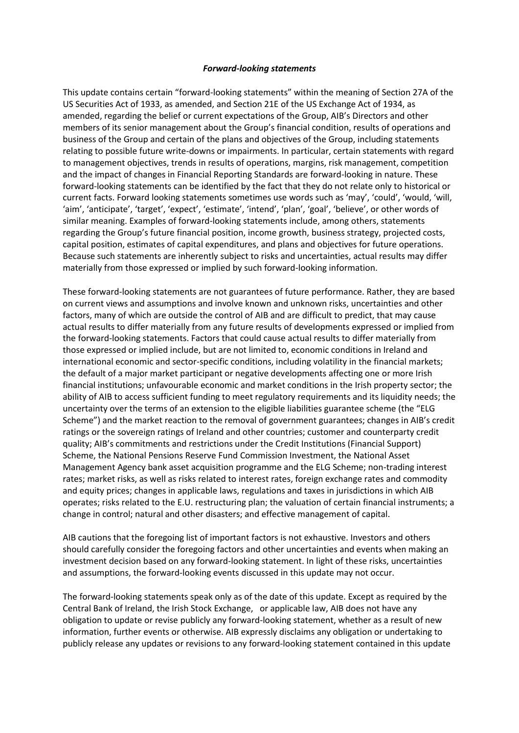## *Forward-looking statements*

This update contains certain "forward-looking statements" within the meaning of Section 27A of the US Securities Act of 1933, as amended, and Section 21E of the US Exchange Act of 1934, as amended, regarding the belief or current expectations of the Group, AIB's Directors and other members of its senior management about the Group's financial condition, results of operations and business of the Group and certain of the plans and objectives of the Group, including statements relating to possible future write-downs or impairments. In particular, certain statements with regard to management objectives, trends in results of operations, margins, risk management, competition and the impact of changes in Financial Reporting Standards are forward-looking in nature. These forward-looking statements can be identified by the fact that they do not relate only to historical or current facts. Forward looking statements sometimes use words such as 'may', 'could', 'would, 'will, 'aim', 'anticipate', 'target', 'expect', 'estimate', 'intend', 'plan', 'goal', 'believe', or other words of similar meaning. Examples of forward-looking statements include, among others, statements regarding the Group's future financial position, income growth, business strategy, projected costs, capital position, estimates of capital expenditures, and plans and objectives for future operations. Because such statements are inherently subject to risks and uncertainties, actual results may differ materially from those expressed or implied by such forward-looking information.

These forward-looking statements are not guarantees of future performance. Rather, they are based on current views and assumptions and involve known and unknown risks, uncertainties and other factors, many of which are outside the control of AIB and are difficult to predict, that may cause actual results to differ materially from any future results of developments expressed or implied from the forward-looking statements. Factors that could cause actual results to differ materially from those expressed or implied include, but are not limited to, economic conditions in Ireland and international economic and sector-specific conditions, including volatility in the financial markets; the default of a major market participant or negative developments affecting one or more Irish financial institutions; unfavourable economic and market conditions in the Irish property sector; the ability of AIB to access sufficient funding to meet regulatory requirements and its liquidity needs; the uncertainty over the terms of an extension to the eligible liabilities guarantee scheme (the "ELG Scheme") and the market reaction to the removal of government guarantees; changes in AIB's credit ratings or the sovereign ratings of Ireland and other countries; customer and counterparty credit quality; AIB's commitments and restrictions under the Credit Institutions (Financial Support) Scheme, the National Pensions Reserve Fund Commission Investment, the National Asset Management Agency bank asset acquisition programme and the ELG Scheme; non-trading interest rates; market risks, as well as risks related to interest rates, foreign exchange rates and commodity and equity prices; changes in applicable laws, regulations and taxes in jurisdictions in which AIB operates; risks related to the E.U. restructuring plan; the valuation of certain financial instruments; a change in control; natural and other disasters; and effective management of capital.

AIB cautions that the foregoing list of important factors is not exhaustive. Investors and others should carefully consider the foregoing factors and other uncertainties and events when making an investment decision based on any forward-looking statement. In light of these risks, uncertainties and assumptions, the forward-looking events discussed in this update may not occur.

The forward-looking statements speak only as of the date of this update. Except as required by the Central Bank of Ireland, the Irish Stock Exchange, or applicable law, AIB does not have any obligation to update or revise publicly any forward-looking statement, whether as a result of new information, further events or otherwise. AIB expressly disclaims any obligation or undertaking to publicly release any updates or revisions to any forward-looking statement contained in this update